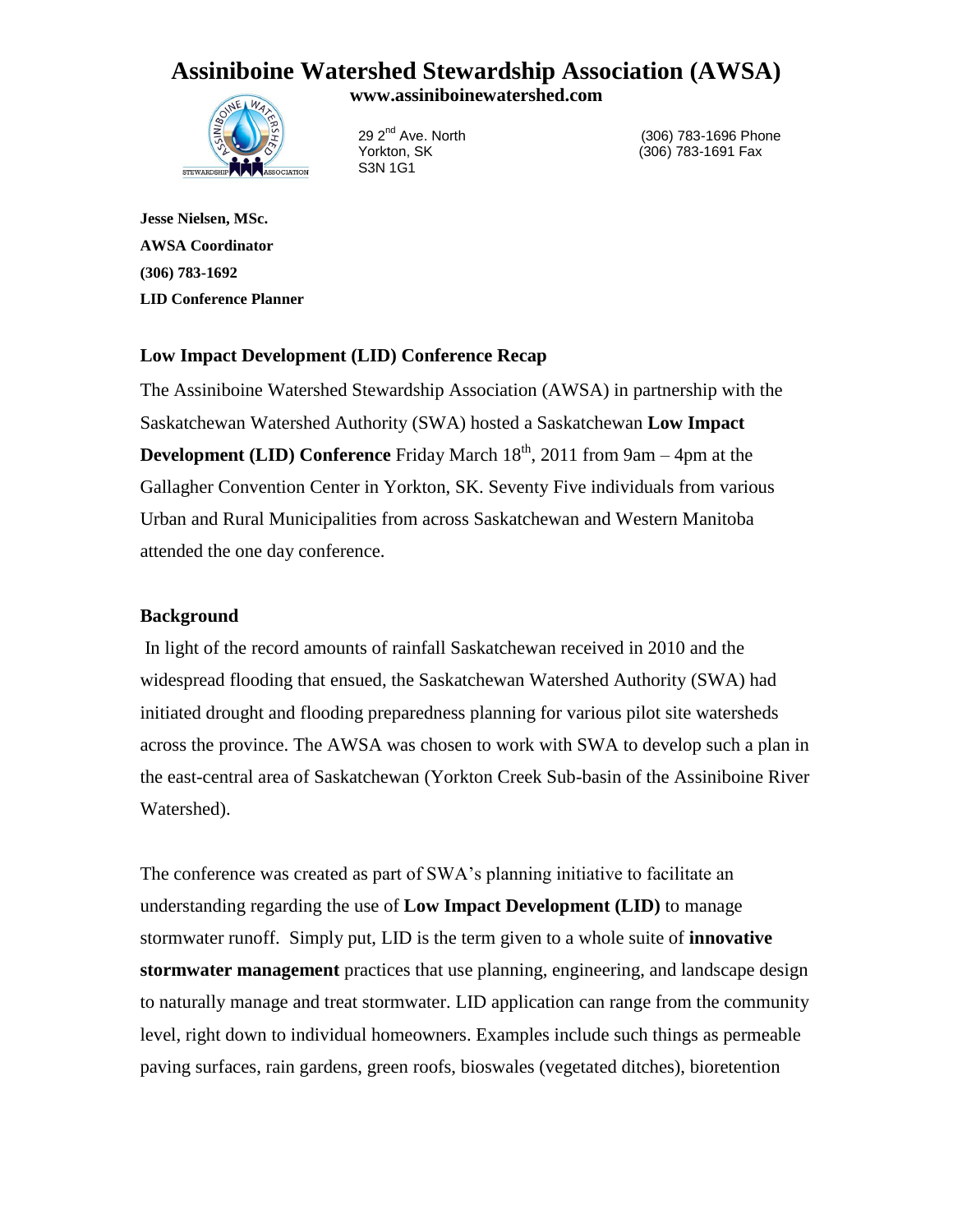## **Assiniboine Watershed Stewardship Association (AWSA)**

**www.assiniboinewatershed.com**



29 2<sup>nd</sup> Ave. North (306) 783-1696 Phone Yorkton, SK (306) 783-1691 Fax

**Jesse Nielsen, MSc. AWSA Coordinator (306) 783-1692 LID Conference Planner**

### **Low Impact Development (LID) Conference Recap**

The Assiniboine Watershed Stewardship Association (AWSA) in partnership with the Saskatchewan Watershed Authority (SWA) hosted a Saskatchewan **Low Impact Development (LID) Conference** Friday March  $18<sup>th</sup>$ , 2011 from 9am – 4pm at the Gallagher Convention Center in Yorkton, SK. Seventy Five individuals from various Urban and Rural Municipalities from across Saskatchewan and Western Manitoba attended the one day conference.

#### **Background**

In light of the record amounts of rainfall Saskatchewan received in 2010 and the widespread flooding that ensued, the Saskatchewan Watershed Authority (SWA) had initiated drought and flooding preparedness planning for various pilot site watersheds across the province. The AWSA was chosen to work with SWA to develop such a plan in the east-central area of Saskatchewan (Yorkton Creek Sub-basin of the Assiniboine River Watershed).

The conference was created as part of SWA's planning initiative to facilitate an understanding regarding the use of **Low Impact Development (LID)** to manage stormwater runoff. Simply put, LID is the term given to a whole suite of **innovative stormwater management** practices that use planning, engineering, and landscape design to naturally manage and treat stormwater. LID application can range from the community level, right down to individual homeowners. Examples include such things as permeable paving surfaces, rain gardens, green roofs, bioswales (vegetated ditches), bioretention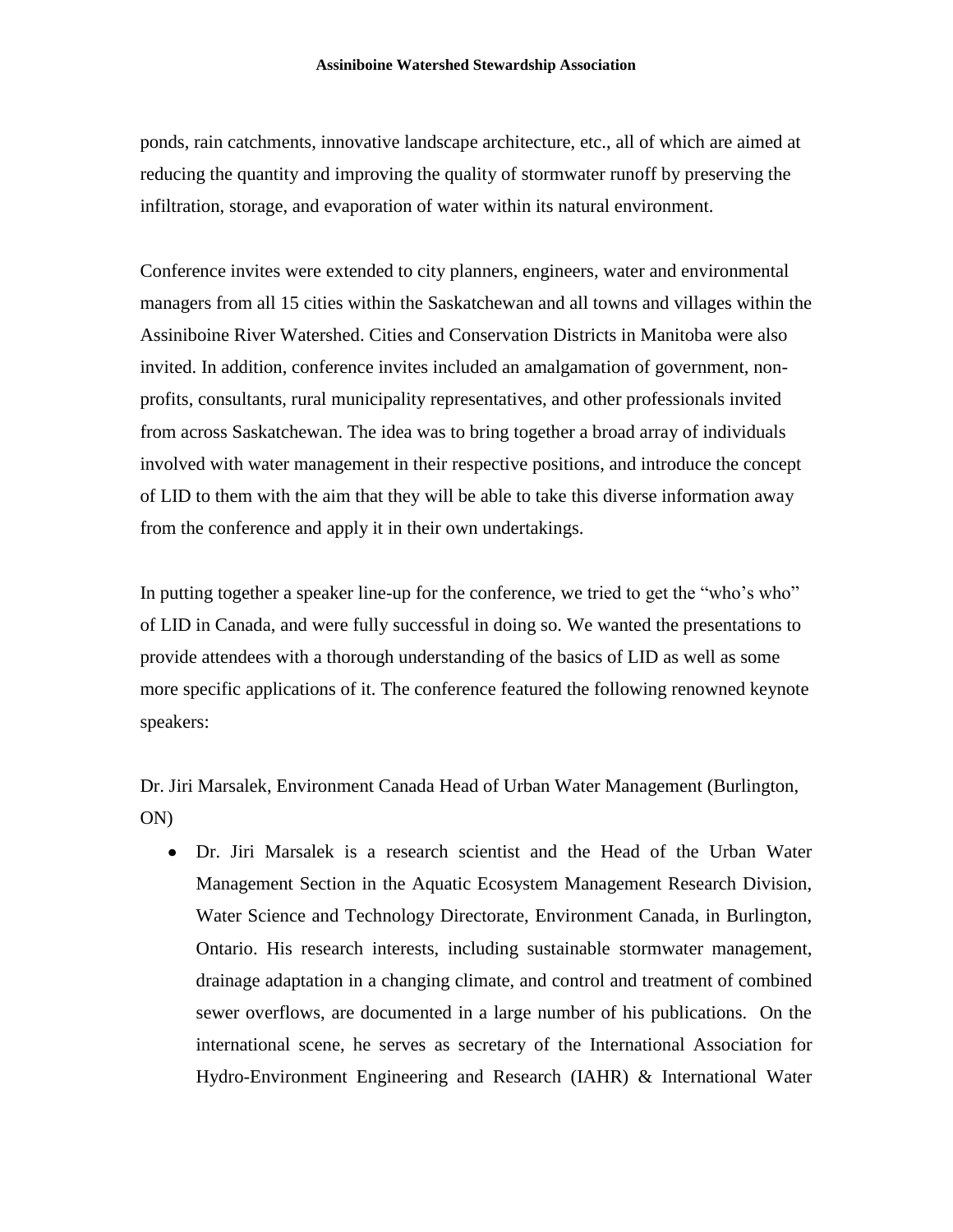ponds, rain catchments, innovative landscape architecture, etc., all of which are aimed at reducing the quantity and improving the quality of stormwater runoff by preserving the infiltration, storage, and evaporation of water within its natural environment.

Conference invites were extended to city planners, engineers, water and environmental managers from all 15 cities within the Saskatchewan and all towns and villages within the Assiniboine River Watershed. Cities and Conservation Districts in Manitoba were also invited. In addition, conference invites included an amalgamation of government, nonprofits, consultants, rural municipality representatives, and other professionals invited from across Saskatchewan. The idea was to bring together a broad array of individuals involved with water management in their respective positions, and introduce the concept of LID to them with the aim that they will be able to take this diverse information away from the conference and apply it in their own undertakings.

In putting together a speaker line-up for the conference, we tried to get the "who's who" of LID in Canada, and were fully successful in doing so. We wanted the presentations to provide attendees with a thorough understanding of the basics of LID as well as some more specific applications of it. The conference featured the following renowned keynote speakers:

Dr. Jiri Marsalek, Environment Canada Head of Urban Water Management (Burlington, ON)

Dr. Jiri Marsalek is a research scientist and the Head of the Urban Water Management Section in the Aquatic Ecosystem Management Research Division, Water Science and Technology Directorate, Environment Canada, in Burlington, Ontario. His research interests, including sustainable stormwater management, drainage adaptation in a changing climate, and control and treatment of combined sewer overflows, are documented in a large number of his publications. On the international scene, he serves as secretary of the International Association for Hydro-Environment Engineering and Research (IAHR) & International Water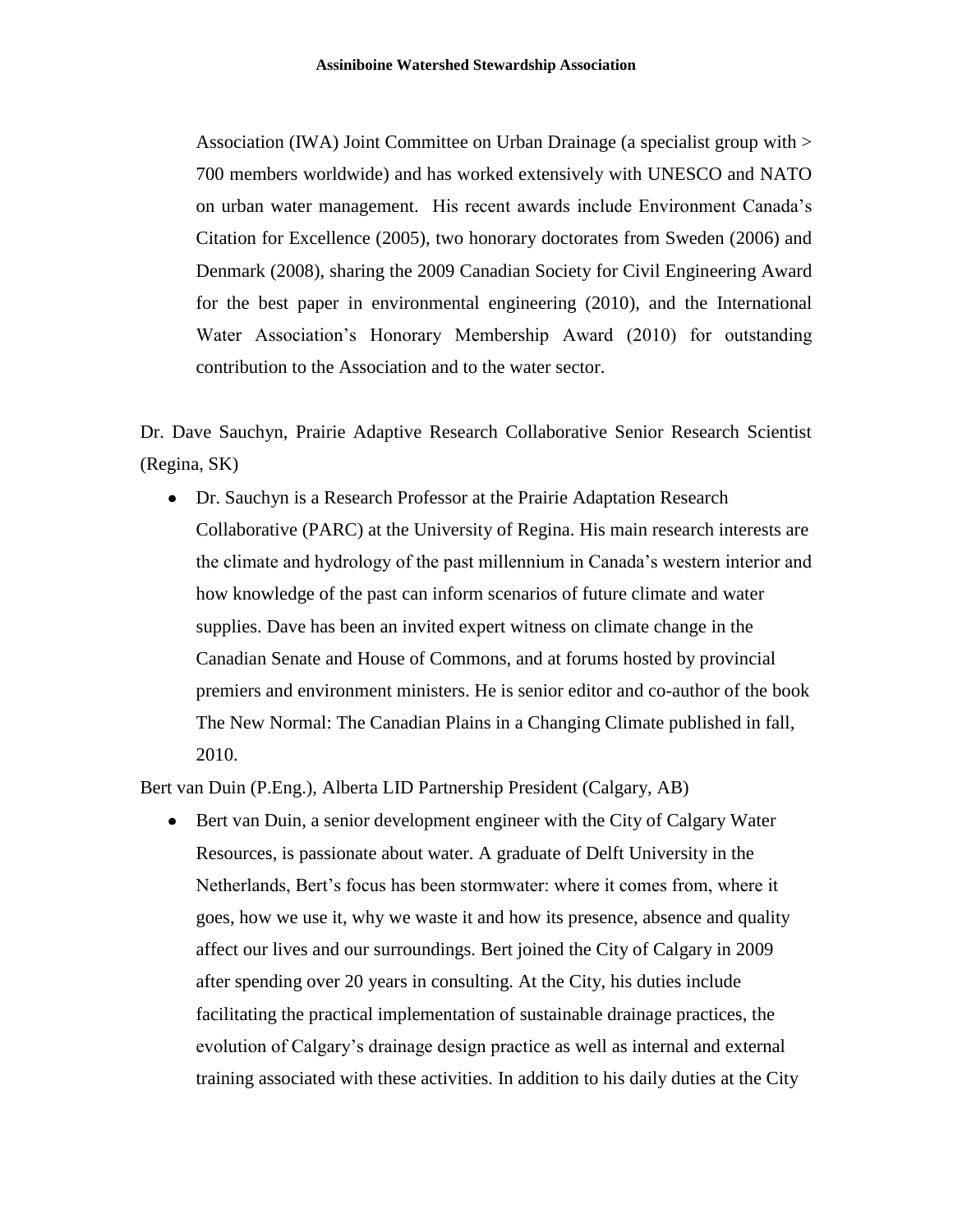Association (IWA) Joint Committee on Urban Drainage (a specialist group with > 700 members worldwide) and has worked extensively with UNESCO and NATO on urban water management. His recent awards include Environment Canada's Citation for Excellence (2005), two honorary doctorates from Sweden (2006) and Denmark (2008), sharing the 2009 Canadian Society for Civil Engineering Award for the best paper in environmental engineering (2010), and the International Water Association's Honorary Membership Award (2010) for outstanding contribution to the Association and to the water sector.

Dr. Dave Sauchyn, Prairie Adaptive Research Collaborative Senior Research Scientist (Regina, SK)

Dr. Sauchyn is a Research Professor at the Prairie Adaptation Research Collaborative (PARC) at the University of Regina. His main research interests are the climate and hydrology of the past millennium in Canada's western interior and how knowledge of the past can inform scenarios of future climate and water supplies. Dave has been an invited expert witness on climate change in the Canadian Senate and House of Commons, and at forums hosted by provincial premiers and environment ministers. He is senior editor and co-author of the book The New Normal: The Canadian Plains in a Changing Climate published in fall, 2010.

Bert van Duin (P.Eng.), Alberta LID Partnership President (Calgary, AB)

Bert van Duin, a senior development engineer with the City of Calgary Water Resources, is passionate about water. A graduate of Delft University in the Netherlands, Bert's focus has been stormwater: where it comes from, where it goes, how we use it, why we waste it and how its presence, absence and quality affect our lives and our surroundings. Bert joined the City of Calgary in 2009 after spending over 20 years in consulting. At the City, his duties include facilitating the practical implementation of sustainable drainage practices, the evolution of Calgary's drainage design practice as well as internal and external training associated with these activities. In addition to his daily duties at the City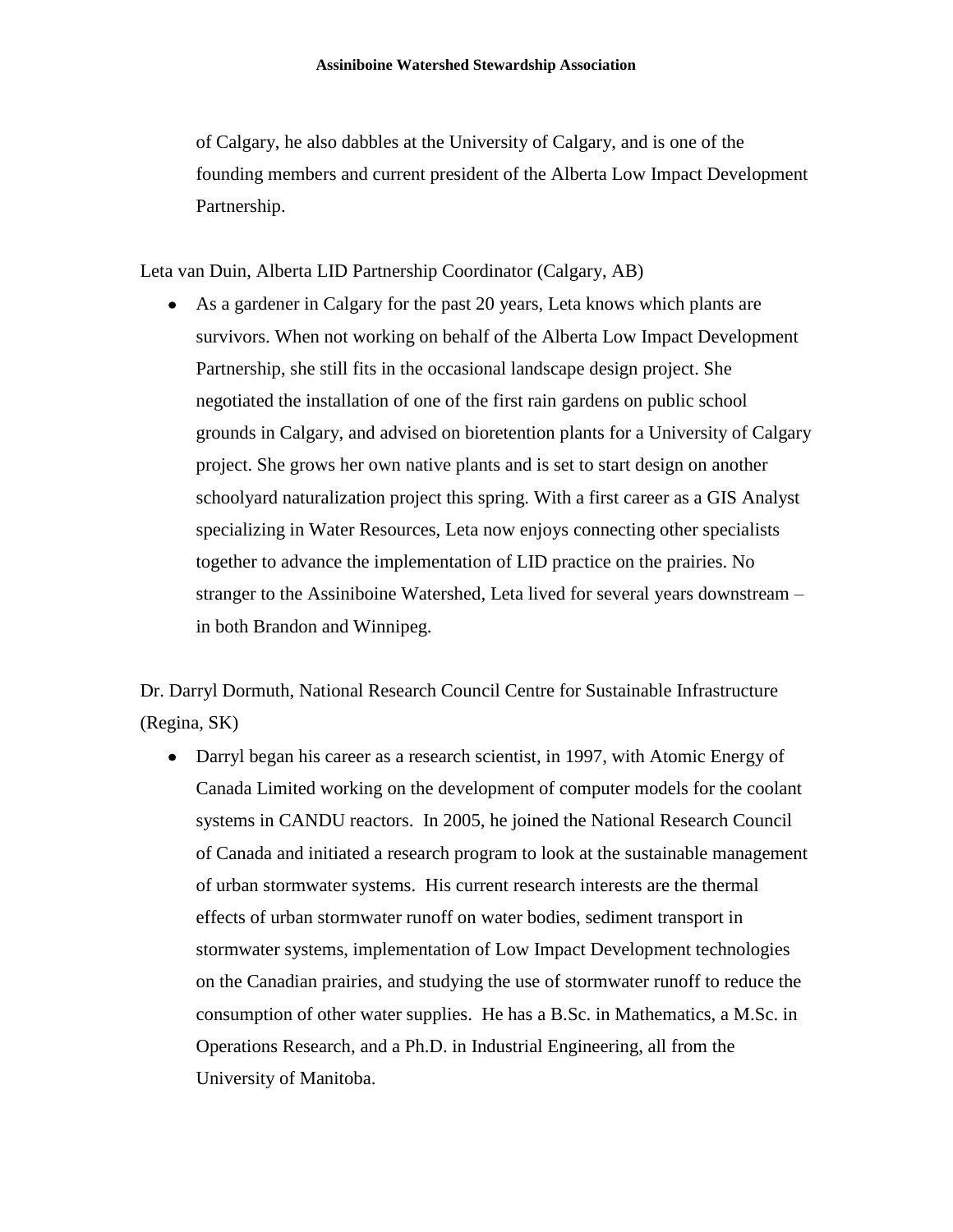of Calgary, he also dabbles at the University of Calgary, and is one of the founding members and current president of the Alberta Low Impact Development Partnership.

Leta van Duin, Alberta LID Partnership Coordinator (Calgary, AB)

 $\bullet$ As a gardener in Calgary for the past 20 years, Leta knows which plants are survivors. When not working on behalf of the Alberta Low Impact Development Partnership, she still fits in the occasional landscape design project. She negotiated the installation of one of the first rain gardens on public school grounds in Calgary, and advised on bioretention plants for a University of Calgary project. She grows her own native plants and is set to start design on another schoolyard naturalization project this spring. With a first career as a GIS Analyst specializing in Water Resources, Leta now enjoys connecting other specialists together to advance the implementation of LID practice on the prairies. No stranger to the Assiniboine Watershed, Leta lived for several years downstream – in both Brandon and Winnipeg.

Dr. Darryl Dormuth, National Research Council Centre for Sustainable Infrastructure (Regina, SK)

• Darryl began his career as a research scientist, in 1997, with Atomic Energy of Canada Limited working on the development of computer models for the coolant systems in CANDU reactors. In 2005, he joined the National Research Council of Canada and initiated a research program to look at the sustainable management of urban stormwater systems. His current research interests are the thermal effects of urban stormwater runoff on water bodies, sediment transport in stormwater systems, implementation of Low Impact Development technologies on the Canadian prairies, and studying the use of stormwater runoff to reduce the consumption of other water supplies. He has a B.Sc. in Mathematics, a M.Sc. in Operations Research, and a Ph.D. in Industrial Engineering, all from the University of Manitoba.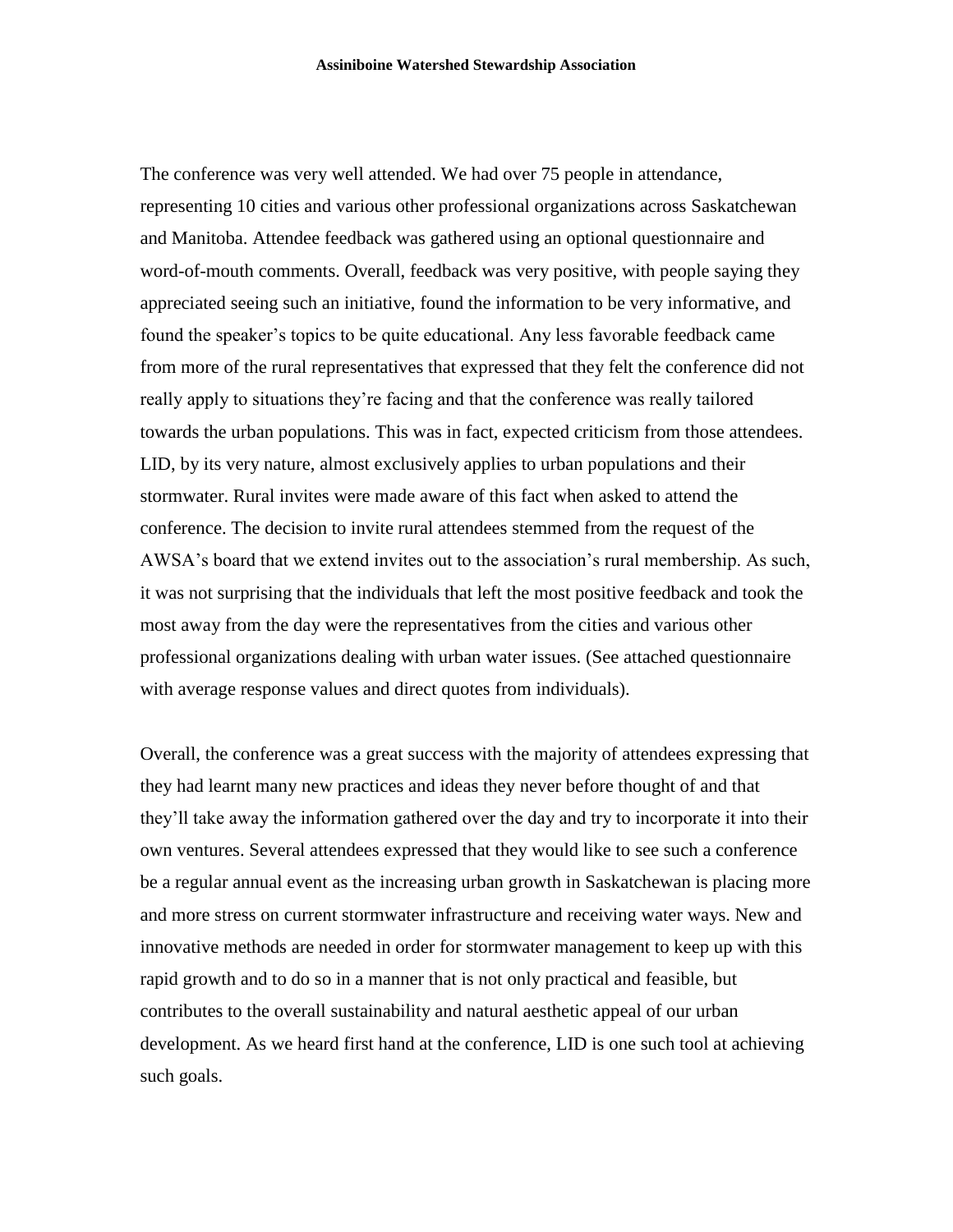The conference was very well attended. We had over 75 people in attendance, representing 10 cities and various other professional organizations across Saskatchewan and Manitoba. Attendee feedback was gathered using an optional questionnaire and word-of-mouth comments. Overall, feedback was very positive, with people saying they appreciated seeing such an initiative, found the information to be very informative, and found the speaker's topics to be quite educational. Any less favorable feedback came from more of the rural representatives that expressed that they felt the conference did not really apply to situations they're facing and that the conference was really tailored towards the urban populations. This was in fact, expected criticism from those attendees. LID, by its very nature, almost exclusively applies to urban populations and their stormwater. Rural invites were made aware of this fact when asked to attend the conference. The decision to invite rural attendees stemmed from the request of the AWSA's board that we extend invites out to the association's rural membership. As such, it was not surprising that the individuals that left the most positive feedback and took the most away from the day were the representatives from the cities and various other professional organizations dealing with urban water issues. (See attached questionnaire with average response values and direct quotes from individuals).

Overall, the conference was a great success with the majority of attendees expressing that they had learnt many new practices and ideas they never before thought of and that they'll take away the information gathered over the day and try to incorporate it into their own ventures. Several attendees expressed that they would like to see such a conference be a regular annual event as the increasing urban growth in Saskatchewan is placing more and more stress on current stormwater infrastructure and receiving water ways. New and innovative methods are needed in order for stormwater management to keep up with this rapid growth and to do so in a manner that is not only practical and feasible, but contributes to the overall sustainability and natural aesthetic appeal of our urban development. As we heard first hand at the conference, LID is one such tool at achieving such goals.